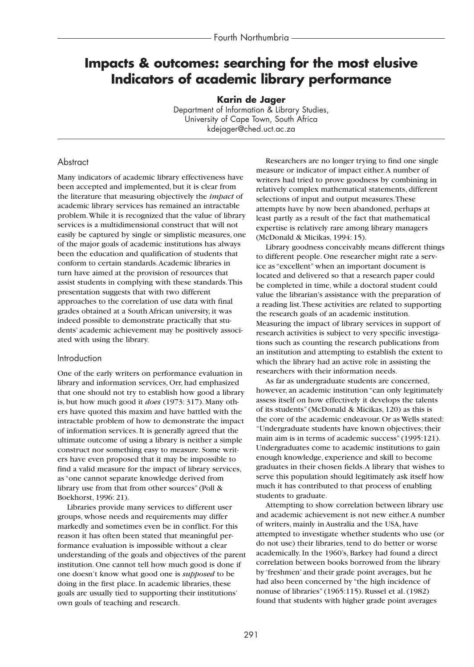# **Impacts & outcomes: searching for the most elusive Indicators of academic library performance**

**Karin de Jager**

Department of Information & Library Studies, University of Cape Town, South Africa kdejager@ched.uct.ac.za

## **Abstract**

Many indicators of academic library effectiveness have been accepted and implemented, but it is clear from the literature that measuring objectively the *impact* of academic library services has remained an intractable problem.While it is recognized that the value of library services is a multidimensional construct that will not easily be captured by single or simplistic measures, one of the major goals of academic institutions has always been the education and qualification of students that conform to certain standards.Academic libraries in turn have aimed at the provision of resources that assist students in complying with these standards.This presentation suggests that with two different approaches to the correlation of use data with final grades obtained at a South African university, it was indeed possible to demonstrate practically that students' academic achievement may be positively associated with using the library.

## Introduction

One of the early writers on performance evaluation in library and information services, Orr, had emphasized that one should not try to establish how good a library is, but how much good it *does* (1973: 317). Many others have quoted this maxim and have battled with the intractable problem of how to demonstrate the impact of information services. It is generally agreed that the ultimate outcome of using a library is neither a simple construct nor something easy to measure. Some writers have even proposed that it may be impossible to find a valid measure for the impact of library services, as "one cannot separate knowledge derived from library use from that from other sources" (Poll & Boekhorst, 1996: 21).

Libraries provide many services to different user groups, whose needs and requirements may differ markedly and sometimes even be in conflict. For this reason it has often been stated that meaningful performance evaluation is impossible without a clear understanding of the goals and objectives of the parent institution. One cannot tell how much good is done if one doesn't know what good one is *supposed* to be doing in the first place. In academic libraries, these goals are usually tied to supporting their institutions' own goals of teaching and research.

Researchers are no longer trying to find one single measure or indicator of impact either.A number of writers had tried to prove goodness by combining in relatively complex mathematical statements, different selections of input and output measures.These attempts have by now been abandoned, perhaps at least partly as a result of the fact that mathematical expertise is relatively rare among library managers (McDonald & Micikas, 1994: 15).

Library goodness conceivably means different things to different people. One researcher might rate a service as "excellent" when an important document is located and delivered so that a research paper could be completed in time, while a doctoral student could value the librarian's assistance with the preparation of a reading list.These activities are related to supporting the research goals of an academic institution. Measuring the impact of library services in support of research activities is subject to very specific investigations such as counting the research publications from an institution and attempting to establish the extent to which the library had an active role in assisting the researchers with their information needs.

As far as undergraduate students are concerned, however, an academic institution "can only legitimately assess itself on how effectively it develops the talents of its students" (McDonald & Micikas, 120) as this is the core of the academic endeavour. Or as Wells stated: "Undergraduate students have known objectives; their main aim is in terms of academic success" (1995:121). Undergraduates come to academic institutions to gain enough knowledge, experience and skill to become graduates in their chosen fields.A library that wishes to serve this population should legitimately ask itself how much it has contributed to that process of enabling students to graduate.

Attempting to show correlation between library use and academic achievement is not new either.A number of writers, mainly in Australia and the USA, have attempted to investigate whether students who use (or do not use) their libraries, tend to do better or worse academically. In the 1960's, Barkey had found a direct correlation between books borrowed from the library by 'freshmen' and their grade point averages, but he had also been concerned by "the high incidence of nonuse of libraries" (1965:115). Russel et al. (1982) found that students with higher grade point averages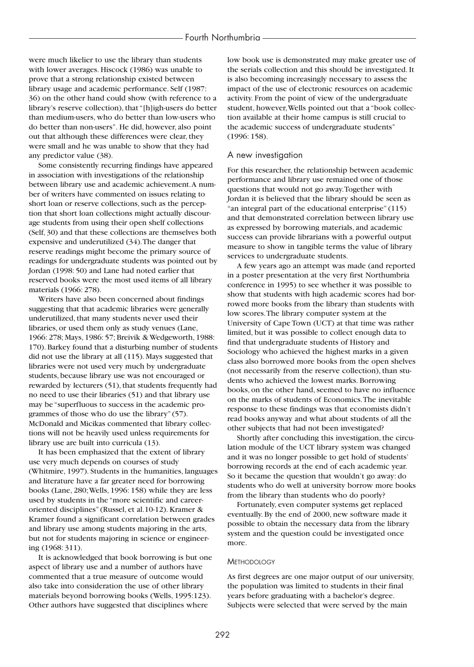were much likelier to use the library than students with lower averages. Hiscock (1986) was unable to prove that a strong relationship existed between library usage and academic performance. Self (1987: 36) on the other hand could show (with reference to a library's reserve collection), that "[h]igh-users do better than medium-users, who do better than low-users who do better than non-users". He did, however, also point out that although these differences were clear, they were small and he was unable to show that they had any predictor value (38).

Some consistently recurring findings have appeared in association with investigations of the relationship between library use and academic achievement.A number of writers have commented on issues relating to short loan or reserve collections, such as the perception that short loan collections might actually discourage students from using their open shelf collections (Self, 30) and that these collections are themselves both expensive and underutilized (34).The danger that reserve readings might become the primary source of readings for undergraduate students was pointed out by Jordan (1998: 50) and Lane had noted earlier that reserved books were the most used items of all library materials (1966: 278).

Writers have also been concerned about findings suggesting that that academic libraries were generally underutilized, that many students never used their libraries, or used them only as study venues (Lane, 1966: 278; Mays, 1986: 57; Breivik & Wedgeworth, 1988: 170). Barkey found that a disturbing number of students did not use the library at all (115). Mays suggested that libraries were not used very much by undergraduate students, because library use was not encouraged or rewarded by lecturers (51), that students frequently had no need to use their libraries (51) and that library use may be "superfluous to success in the academic programmes of those who do use the library" (57). McDonald and Micikas commented that library collections will not be heavily used unless requirements for library use are built into curricula (13).

It has been emphasized that the extent of library use very much depends on courses of study (Whitmire, 1997). Students in the humanities, languages and literature have a far greater need for borrowing books (Lane, 280;Wells, 1996: 158) while they are less used by students in the "more scientific and careeroriented disciplines" (Russel, et al.10-12). Kramer & Kramer found a significant correlation between grades and library use among students majoring in the arts, but not for students majoring in science or engineering (1968: 311).

It is acknowledged that book borrowing is but one aspect of library use and a number of authors have commented that a true measure of outcome would also take into consideration the use of other library materials beyond borrowing books (Wells, 1995:123). Other authors have suggested that disciplines where

low book use is demonstrated may make greater use of the serials collection and this should be investigated. It is also becoming increasingly necessary to assess the impact of the use of electronic resources on academic activity. From the point of view of the undergraduate student, however,Wells pointed out that a "book collection available at their home campus is still crucial to the academic success of undergraduate students" (1996: 158).

#### A new investigation

For this researcher, the relationship between academic performance and library use remained one of those questions that would not go away.Together with Jordan it is believed that the library should be seen as "an integral part of the educational enterprise" (115) and that demonstrated correlation between library use as expressed by borrowing materials, and academic success can provide librarians with a powerful output measure to show in tangible terms the value of library services to undergraduate students.

A few years ago an attempt was made (and reported in a poster presentation at the very first Northumbria conference in 1995) to see whether it was possible to show that students with high academic scores had borrowed more books from the library than students with low scores.The library computer system at the University of Cape Town (UCT) at that time was rather limited, but it was possible to collect enough data to find that undergraduate students of History and Sociology who achieved the highest marks in a given class also borrowed more books from the open shelves (not necessarily from the reserve collection), than students who achieved the lowest marks. Borrowing books, on the other hand, seemed to have no influence on the marks of students of Economics.The inevitable response to these findings was that economists didn't read books anyway and what about students of all the other subjects that had not been investigated?

Shortly after concluding this investigation, the circulation module of the UCT library system was changed and it was no longer possible to get hold of students' borrowing records at the end of each academic year. So it became the question that wouldn't go away: do students who do well at university borrow more books from the library than students who do poorly?

Fortunately, even computer systems get replaced eventually. By the end of 2000, new software made it possible to obtain the necessary data from the library system and the question could be investigated once more.

#### **METHODOLOGY**

As first degrees are one major output of our university, the population was limited to students in their final years before graduating with a bachelor's degree. Subjects were selected that were served by the main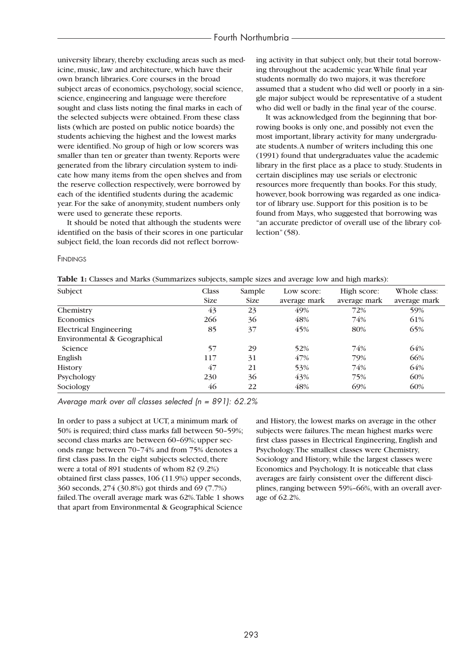university library, thereby excluding areas such as medicine, music, law and architecture, which have their own branch libraries. Core courses in the broad subject areas of economics, psychology, social science, science, engineering and language were therefore sought and class lists noting the final marks in each of the selected subjects were obtained. From these class lists (which are posted on public notice boards) the students achieving the highest and the lowest marks were identified. No group of high or low scorers was smaller than ten or greater than twenty. Reports were generated from the library circulation system to indicate how many items from the open shelves and from the reserve collection respectively, were borrowed by each of the identified students during the academic year. For the sake of anonymity, student numbers only were used to generate these reports.

It should be noted that although the students were identified on the basis of their scores in one particular subject field, the loan records did not reflect borrowing activity in that subject only, but their total borrowing throughout the academic year.While final year students normally do two majors, it was therefore assumed that a student who did well or poorly in a single major subject would be representative of a student who did well or badly in the final year of the course.

It was acknowledged from the beginning that borrowing books is only one, and possibly not even the most important, library activity for many undergraduate students.A number of writers including this one (1991) found that undergraduates value the academic library in the first place as a place to study. Students in certain disciplines may use serials or electronic resources more frequently than books. For this study, however, book borrowing was regarded as one indicator of library use. Support for this position is to be found from Mays, who suggested that borrowing was "an accurate predictor of overall use of the library collection" (58).

**FINDINGS** 

| Subject                       | Class<br><b>Size</b> | Sample<br><b>Size</b> | Low score:<br>average mark | High score:<br>average mark | Whole class:<br>average mark |
|-------------------------------|----------------------|-----------------------|----------------------------|-----------------------------|------------------------------|
| Chemistry                     | 43                   | 23                    | 49%                        | 72%                         | 59%                          |
| <b>Economics</b>              | 266                  | 36                    | 48%                        | 74%                         | 61%                          |
| <b>Electrical Engineering</b> | 85                   | 37                    | 45%                        | 80%                         | 65%                          |
| Environmental & Geographical  |                      |                       |                            |                             |                              |
| Science                       | 57                   | 29                    | 52%                        | 74%                         | 64%                          |
| English                       | 117                  | 31                    | 47%                        | 79%                         | 66%                          |
| <b>History</b>                | 47                   | 21                    | 53%                        | 74%                         | 64%                          |
| Psychology                    | 230                  | 36                    | 43%                        | 75%                         | 60%                          |
| Sociology                     | 46                   | 22                    | 48%                        | 69%                         | 60%                          |

*Average mark over all classes selected (n = 891): 62.2%*

In order to pass a subject at UCT, a minimum mark of 50% is required; third class marks fall between 50–59%; second class marks are between 60–69%; upper seconds range between 70–74% and from 75% denotes a first class pass. In the eight subjects selected, there were a total of 891 students of whom 82 (9.2%) obtained first class passes, 106 (11.9%) upper seconds, 360 seconds, 274 (30.8%) got thirds and 69 (7.7%) failed.The overall average mark was 62%.Table 1 shows that apart from Environmental & Geographical Science

and History, the lowest marks on average in the other subjects were failures.The mean highest marks were first class passes in Electrical Engineering, English and Psychology.The smallest classes were Chemistry, Sociology and History, while the largest classes were Economics and Psychology. It is noticeable that class averages are fairly consistent over the different disciplines, ranging between 59%–66%, with an overall average of 62.2%.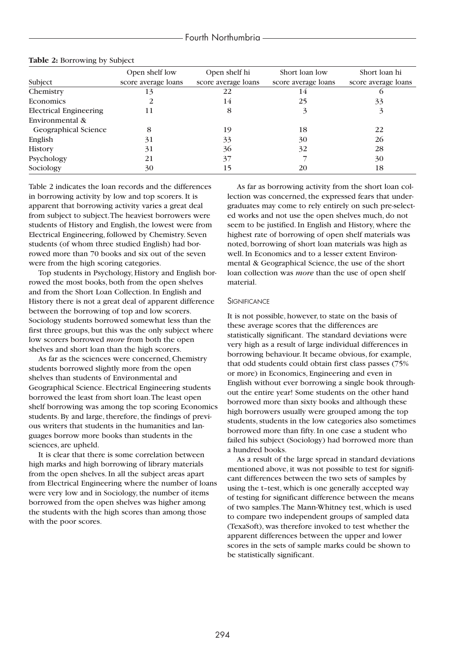|                               | Open shelf low      | Open shelf hi       | Short loan low      | Short loan hi       |
|-------------------------------|---------------------|---------------------|---------------------|---------------------|
| Subject                       | score average loans | score average loans | score average loans | score average loans |
| Chemistry                     | 13                  | 22                  |                     |                     |
| Economics                     |                     | 14                  | 25                  | 33                  |
| <b>Electrical Engineering</b> | 11                  | 8                   |                     | 3                   |
| Environmental &               |                     |                     |                     |                     |
| <b>Geographical Science</b>   | 8                   | 19                  | 18                  | 22                  |
| English                       | 31                  | 33                  | 30                  | 26                  |
| <b>History</b>                | 31                  | 36                  | 32                  | 28                  |
| Psychology                    | 21                  | 37                  |                     | 30                  |
| Sociology                     | 30                  | 15                  | 20                  | 18                  |

#### **Table 2:** Borrowing by Subject

Table 2 indicates the loan records and the differences in borrowing activity by low and top scorers. It is apparent that borrowing activity varies a great deal from subject to subject.The heaviest borrowers were students of History and English, the lowest were from Electrical Engineering, followed by Chemistry. Seven students (of whom three studied English) had borrowed more than 70 books and six out of the seven were from the high scoring categories.

Top students in Psychology, History and English borrowed the most books, both from the open shelves and from the Short Loan Collection. In English and History there is not a great deal of apparent difference between the borrowing of top and low scorers. Sociology students borrowed somewhat less than the first three groups, but this was the only subject where low scorers borrowed *more* from both the open shelves and short loan than the high scorers.

As far as the sciences were concerned, Chemistry students borrowed slightly more from the open shelves than students of Environmental and Geographical Science. Electrical Engineering students borrowed the least from short loan.The least open shelf borrowing was among the top scoring Economics students. By and large, therefore, the findings of previous writers that students in the humanities and languages borrow more books than students in the sciences, are upheld.

It is clear that there is some correlation between high marks and high borrowing of library materials from the open shelves. In all the subject areas apart from Electrical Engineering where the number of loans were very low and in Sociology, the number of items borrowed from the open shelves was higher among the students with the high scores than among those with the poor scores.

As far as borrowing activity from the short loan collection was concerned, the expressed fears that undergraduates may come to rely entirely on such pre-selected works and not use the open shelves much, do not seem to be justified. In English and History, where the highest rate of borrowing of open shelf materials was noted, borrowing of short loan materials was high as well. In Economics and to a lesser extent Environmental & Geographical Science, the use of the short loan collection was *more* than the use of open shelf material.

#### **SIGNIFICANCE**

It is not possible, however, to state on the basis of these average scores that the differences are statistically significant. The standard deviations were very high as a result of large individual differences in borrowing behaviour. It became obvious, for example, that odd students could obtain first class passes (75% or more) in Economics, Engineering and even in English without ever borrowing a single book throughout the entire year! Some students on the other hand borrowed more than sixty books and although these high borrowers usually were grouped among the top students, students in the low categories also sometimes borrowed more than fifty. In one case a student who failed his subject (Sociology) had borrowed more than a hundred books.

As a result of the large spread in standard deviations mentioned above, it was not possible to test for significant differences between the two sets of samples by using the t–test, which is one generally accepted way of testing for significant difference between the means of two samples.The Mann-Whitney test, which is used to compare two independent groups of sampled data (TexaSoft), was therefore invoked to test whether the apparent differences between the upper and lower scores in the sets of sample marks could be shown to be statistically significant.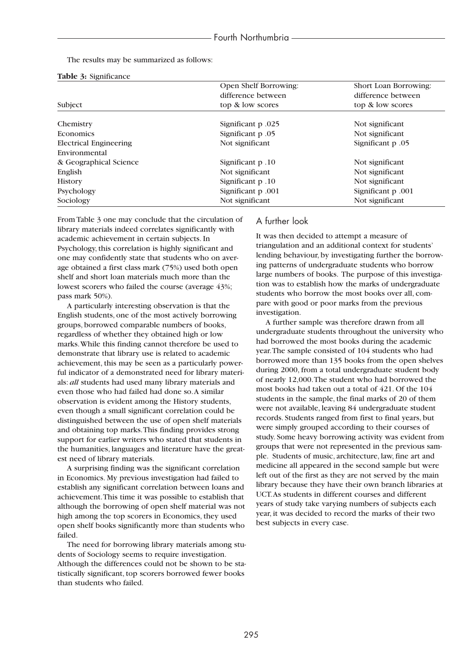The results may be summarized as follows:

|  |  | Table 3: Significance |
|--|--|-----------------------|
|--|--|-----------------------|

|                               | Open Shelf Borrowing:                | Short Loan Borrowing: |  |
|-------------------------------|--------------------------------------|-----------------------|--|
|                               | difference between                   | difference between    |  |
| Subject                       | top & low scores                     | top & low scores      |  |
| Chemistry                     | Significant p.025                    | Not significant       |  |
| <b>Economics</b>              |                                      |                       |  |
|                               | Significant p.05                     | Not significant       |  |
| <b>Electrical Engineering</b> | Not significant<br>Significant p .05 |                       |  |
| Environmental                 |                                      |                       |  |
| & Geographical Science        | Significant p.10                     | Not significant       |  |
| English                       | Not significant                      | Not significant       |  |
| <b>History</b>                | Significant p.10                     | Not significant       |  |
| Psychology                    | Significant p.001                    | Significant p.001     |  |
| Sociology                     | Not significant<br>Not significant   |                       |  |
|                               |                                      |                       |  |

From Table 3 one may conclude that the circulation of library materials indeed correlates significantly with academic achievement in certain subjects. In Psychology, this correlation is highly significant and one may confidently state that students who on average obtained a first class mark (75%) used both open shelf and short loan materials much more than the lowest scorers who failed the course (average 43%; pass mark 50%).

A particularly interesting observation is that the English students, one of the most actively borrowing groups, borrowed comparable numbers of books, regardless of whether they obtained high or low marks.While this finding cannot therefore be used to demonstrate that library use is related to academic achievement, this may be seen as a particularly powerful indicator of a demonstrated need for library materials: *all* students had used many library materials and even those who had failed had done so.A similar observation is evident among the History students, even though a small significant correlation could be distinguished between the use of open shelf materials and obtaining top marks.This finding provides strong support for earlier writers who stated that students in the humanities, languages and literature have the greatest need of library materials.

A surprising finding was the significant correlation in Economics. My previous investigation had failed to establish any significant correlation between loans and achievement.This time it was possible to establish that although the borrowing of open shelf material was not high among the top scorers in Economics, they used open shelf books significantly more than students who failed.

The need for borrowing library materials among students of Sociology seems to require investigation. Although the differences could not be shown to be statistically significant, top scorers borrowed fewer books than students who failed.

### A further look

It was then decided to attempt a measure of triangulation and an additional context for students' lending behaviour, by investigating further the borrowing patterns of undergraduate students who borrow large numbers of books. The purpose of this investigation was to establish how the marks of undergraduate students who borrow the most books over all, compare with good or poor marks from the previous investigation.

A further sample was therefore drawn from all undergraduate students throughout the university who had borrowed the most books during the academic year.The sample consisted of 104 students who had borrowed more than 135 books from the open shelves during 2000, from a total undergraduate student body of nearly 12,000.The student who had borrowed the most books had taken out a total of 421. Of the 104 students in the sample, the final marks of 20 of them were not available, leaving 84 undergraduate student records. Students ranged from first to final years, but were simply grouped according to their courses of study. Some heavy borrowing activity was evident from groups that were not represented in the previous sample. Students of music, architecture, law, fine art and medicine all appeared in the second sample but were left out of the first as they are not served by the main library because they have their own branch libraries at UCT.As students in different courses and different years of study take varying numbers of subjects each year, it was decided to record the marks of their two best subjects in every case.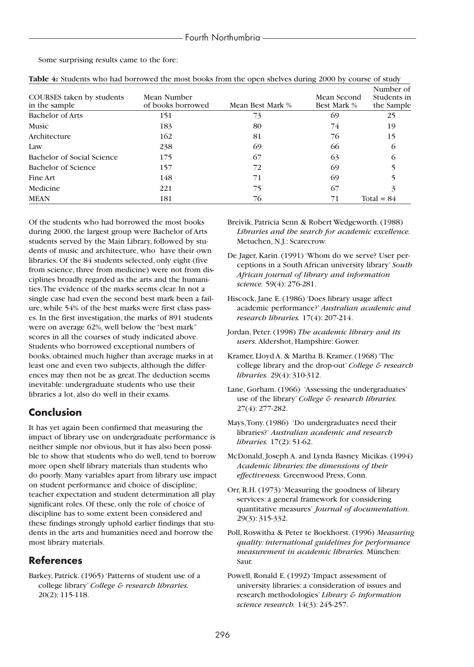Some surprising results came to the fore:

| COURSES taken by students<br>in the sample | Mean Number<br>of books borrowed | Mean Best Mark % | Mean Second<br><b>Best Mark %</b> | Number of<br>Students in<br>the Sample |
|--------------------------------------------|----------------------------------|------------------|-----------------------------------|----------------------------------------|
| <b>Bachelor of Arts</b>                    | 151                              | 73               | 69                                | 25                                     |
| <b>Music</b>                               | 183                              | 80               | 74                                | 19                                     |
| Architecture                               | 162                              | 81               | 76                                | 15                                     |
| Law                                        | 238                              | 69               | 66                                | $\Omega$                               |
| Bachelor of Social Science                 | 175                              | 67               | 63                                | O                                      |
| Bachelor of Science                        | 157                              | 72               | 69                                |                                        |
| Fine Art                                   | 148                              | 71               | 69                                |                                        |
| Medicine                                   | 221                              | 75               | 67                                |                                        |
| <b>MEAN</b>                                | 181                              | 76               | 71                                | Total = $84$                           |

| Table 4: Students who had borrowed the most books from the open shelves during 2000 by course of study |  |  |  |
|--------------------------------------------------------------------------------------------------------|--|--|--|
|--------------------------------------------------------------------------------------------------------|--|--|--|

Of the students who had borrowed the most books during 2000, the largest group were Bachelor of Arts students served by the Main Library, followed by students of music and architecture, who have their own libraries. Of the 84 students selected, only eight (five from science, three from medicine) were not from disciplines broadly regarded as the arts and the humanities.The evidence of the marks seems clear. In not a single case had even the second best mark been a failure, while 54% of the best marks were first class passes. In the first investigation, the marks of 891 students were on average 62%, well below the "best mark" scores in all the courses of study indicated above. Students who borrowed exceptional numbers of books, obtained much higher than average marks in at least one and even two subjects, although the differences may then not be as great.The deduction seems inevitable: undergraduate students who use their libraries a lot, also do well in their exams.

# **Conclusion**

It has yet again been confirmed that measuring the impact of library use on undergraduate performance is neither simple nor obvious, but it has also been possible to show that students who do well, tend to borrow more open shelf library materials than students who do poorly. Many variables apart from library use impact on student performance and choice of discipline; teacher expectation and student determination all play significant roles. Of these, only the role of choice of discipline has to some extent been considered and these findings strongly uphold earlier findings that students in the arts and humanities need and borrow the most library materials.

# **References**

Barkey, Patrick. (1965) 'Patterns of student use of a college library' *College & research libraries.* 20(2): 115-118.

- Breivik, Patricia Senn & Robert Wedgeworth. (1988) *Libraries and the search for academic excellence.* Metuchen, N.J.: Scarecrow.
- De Jager, Karin. (1991) 'Whom do we serve? User perceptions in a South African university library' *South African journal of library and information science.* 59(4): 276-281.
- Hiscock, Jane E. (1986) 'Does library usage affect academic performance?' *Australian academic and research libraries.* 17(4): 207-214.
- Jordan, Peter. (1998) *The academic library and its users.* Aldershot, Hampshire: Gower.
- Kramer, Lloyd A. & Martha B. Kramer. (1968) 'The college library and the drop-out' *College & research libraries.* 29(4): 310-312.
- Lane, Gorham. (1966) 'Assessing the undergraduates' use of the library' *College & research libraries.* 27(4): 277-282.
- Mays,Tony. (1986) 'Do undergraduates need their libraries?' *Australian academic and research libraries.* 17(2): 51-62.
- McDonald, Joseph A. and Lynda Basney Micikas. (1994) *Academic libraries: the dimensions of their effectiveness.* Greenwood Press, Conn.
- Orr, R.H. (1973) 'Measuring the goodness of library services: a general framework for considering quantitative measures' *Journal of documentation.* 29(3): 315-332.
- Poll, Roswitha & Peter te Boekhorst. (1996) *Measuring quality: international guidelines for performance measurement in academic libraries.* München: Saur.
- Powell, Ronald E. (1992) 'Impact assessment of university libraries: a consideration of issues and research methodologies' *Library & information science research.* 14(3): 245-257.